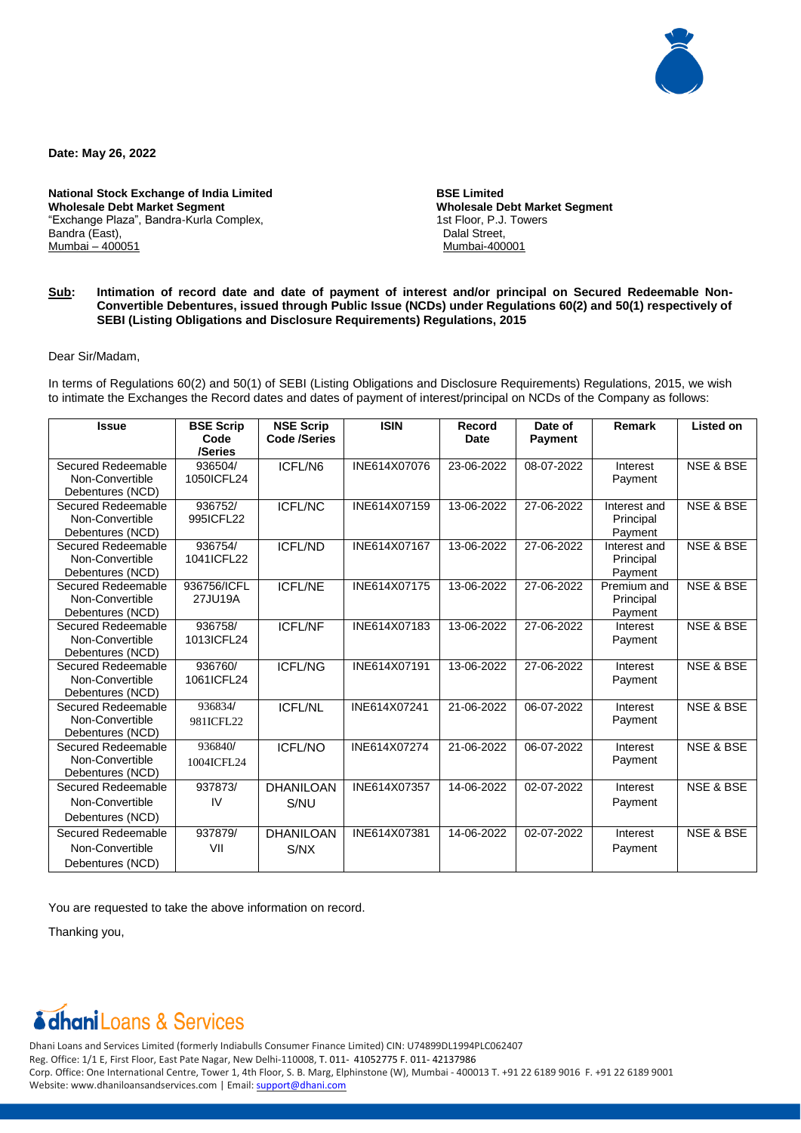

**Date: May 26, 2022**

**National Stock Exchange of India Limited Wholesale Debt Market Segment** "Exchange Plaza", Bandra-Kurla Complex, Bandra (East), Mumbai – 400051

 **BSE Limited Wholesale Debt Market Segment** 1st Floor, P.J. Towers Dalal Street, Mumbai-400001

## **Sub: Intimation of record date and date of payment of interest and/or principal on Secured Redeemable Non-Convertible Debentures, issued through Public Issue (NCDs) under Regulations 60(2) and 50(1) respectively of SEBI (Listing Obligations and Disclosure Requirements) Regulations, 2015**

Dear Sir/Madam,

In terms of Regulations 60(2) and 50(1) of SEBI (Listing Obligations and Disclosure Requirements) Regulations, 2015, we wish to intimate the Exchanges the Record dates and dates of payment of interest/principal on NCDs of the Company as follows:

| <b>Issue</b>                          | <b>BSE Scrip</b><br>Code | <b>NSE Scrip</b><br><b>Code /Series</b> | <b>ISIN</b>  | Record<br><b>Date</b> | Date of<br><b>Payment</b> | Remark       | <b>Listed on</b>     |
|---------------------------------------|--------------------------|-----------------------------------------|--------------|-----------------------|---------------------------|--------------|----------------------|
|                                       | /Series                  |                                         |              |                       |                           |              |                      |
| Secured Redeemable                    | 936504/                  | ICFL/N6                                 | INE614X07076 | 23-06-2022            | 08-07-2022                | Interest     | NSE & BSE            |
| Non-Convertible                       | 1050ICFL24               |                                         |              |                       |                           | Payment      |                      |
| Debentures (NCD)                      |                          |                                         |              |                       |                           |              |                      |
| Secured Redeemable                    | 936752/                  | <b>ICFL/NC</b>                          | INE614X07159 | 13-06-2022            | 27-06-2022                | Interest and | <b>NSE &amp; BSE</b> |
| Non-Convertible                       | 995ICFL22                |                                         |              |                       |                           | Principal    |                      |
| Debentures (NCD)                      |                          |                                         |              |                       |                           | Payment      |                      |
| Secured Redeemable                    | 936754/                  | <b>ICFL/ND</b>                          | INE614X07167 | 13-06-2022            | 27-06-2022                | Interest and | <b>NSE &amp; BSE</b> |
| Non-Convertible                       | 1041ICFL22               |                                         |              |                       |                           | Principal    |                      |
| Debentures (NCD)                      |                          |                                         |              |                       |                           | Payment      |                      |
| Secured Redeemable                    | 936756/ICFL              | <b>ICFL/NE</b>                          | INE614X07175 | 13-06-2022            | 27-06-2022                | Premium and  | <b>NSE &amp; BSE</b> |
| Non-Convertible                       | 27JU19A                  |                                         |              |                       |                           | Principal    |                      |
| Debentures (NCD)                      |                          |                                         |              |                       |                           | Payment      |                      |
| Secured Redeemable<br>Non-Convertible | 936758/                  | <b>ICFL/NF</b>                          | INE614X07183 | 13-06-2022            | 27-06-2022                | Interest     | <b>NSE &amp; BSE</b> |
| Debentures (NCD)                      | 1013ICFL24               |                                         |              |                       |                           | Payment      |                      |
| Secured Redeemable                    | 936760/                  | <b>ICFL/NG</b>                          | INE614X07191 | 13-06-2022            | 27-06-2022                | Interest     | <b>NSE &amp; BSE</b> |
| Non-Convertible                       | 1061ICFL24               |                                         |              |                       |                           | Payment      |                      |
| Debentures (NCD)                      |                          |                                         |              |                       |                           |              |                      |
| Secured Redeemable                    | 936834/                  | <b>ICFL/NL</b>                          | INE614X07241 | 21-06-2022            | 06-07-2022                | Interest     | <b>NSE &amp; BSE</b> |
| Non-Convertible                       | 981ICFL22                |                                         |              |                       |                           | Payment      |                      |
| Debentures (NCD)                      |                          |                                         |              |                       |                           |              |                      |
| Secured Redeemable                    | 936840/                  | <b>ICFL/NO</b>                          | INE614X07274 | 21-06-2022            | 06-07-2022                | Interest     | <b>NSE &amp; BSE</b> |
| Non-Convertible                       | 1004ICFL24               |                                         |              |                       |                           | Payment      |                      |
| Debentures (NCD)                      |                          |                                         |              |                       |                           |              |                      |
| Secured Redeemable                    | 937873/                  | <b>DHANILOAN</b>                        | INE614X07357 | 14-06-2022            | 02-07-2022                | Interest     | NSE & BSE            |
| Non-Convertible                       | IV                       | S/NU                                    |              |                       |                           | Payment      |                      |
| Debentures (NCD)                      |                          |                                         |              |                       |                           |              |                      |
| Secured Redeemable                    | 937879/                  | <b>DHANILOAN</b>                        | INE614X07381 | 14-06-2022            | 02-07-2022                | Interest     | <b>NSE &amp; BSE</b> |
| Non-Convertible                       | VII                      | S/NX                                    |              |                       |                           | Payment      |                      |
| Debentures (NCD)                      |                          |                                         |              |                       |                           |              |                      |

You are requested to take the above information on record.

Thanking you,

## **dhani** Loans & Services

Dhani Loans and Services Limited (formerly Indiabulls Consumer Finance Limited) CIN: U74899DL1994PLC062407 Reg. Office: 1/1 E, First Floor, East Pate Nagar, New Delhi-110008, T. 011- 41052775 F. 011- 42137986 Corp. Office: One International Centre, Tower 1, 4th Floor, S. B. Marg, Elphinstone (W), Mumbai - 400013 T. +91 22 6189 9016 F. +91 22 6189 9001 Website: www.dhaniloansandservices.com | Email: [support@dhani.com](mailto:support@dhani.com)